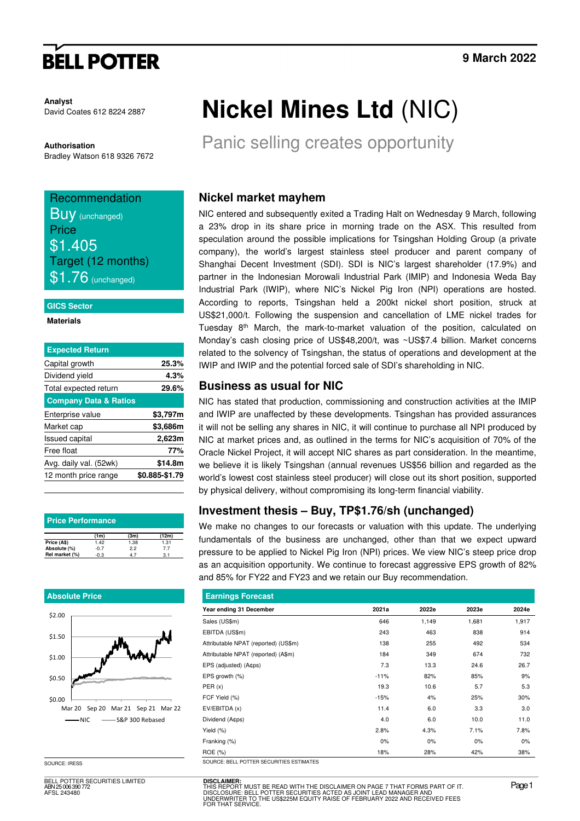# **BELL POTTER**

**Analyst**  David Coates 612 8224 2887

**Authorisation**  Bradley Watson 618 9326 7672

## Recommendation Buy (unchanged) Price \$1.405 Target (12 months)  $$1.76$  (unchanged)

#### **GICS Sector**

#### **Materials**

| <b>Expected Return</b>           |                |
|----------------------------------|----------------|
| Capital growth                   | 25.3%          |
| Dividend yield                   | 4.3%           |
| Total expected return            | 29.6%          |
| <b>Company Data &amp; Ratios</b> |                |
| Enterprise value                 | \$3,797m       |
| Market cap                       | \$3,686m       |
| <b>Issued capital</b>            | 2,623m         |
| Free float                       | 77%            |
| Avg. daily val. (52wk)           | \$14.8m        |
| 12 month price range             | \$0.885-\$1.79 |
|                                  |                |

| <b>Price Performance</b> |        |      |       |  |  |  |  |
|--------------------------|--------|------|-------|--|--|--|--|
|                          | (1m)   | (3m) | (12m) |  |  |  |  |
| Price (A\$)              | 1.42   | 1.38 | 1.31  |  |  |  |  |
| Absolute (%)             | $-0.7$ | 2.2  | 77    |  |  |  |  |
| Rel market (%)           | $-0.3$ | 47   | 3.1   |  |  |  |  |

#### **Absolute Price**



SOURCE: IRESS

BELL POTTER SECURITIES LIMITED ABN 25 006 390 772 AFSL 243480

# **Nickel Mines Ltd** (NIC)

Panic selling creates opportunity

### **Nickel market mayhem**

NIC entered and subsequently exited a Trading Halt on Wednesday 9 March, following a 23% drop in its share price in morning trade on the ASX. This resulted from speculation around the possible implications for Tsingshan Holding Group (a private company), the world's largest stainless steel producer and parent company of Shanghai Decent Investment (SDI). SDI is NIC's largest shareholder (17.9%) and partner in the Indonesian Morowali Industrial Park (IMIP) and Indonesia Weda Bay Industrial Park (IWIP), where NIC's Nickel Pig Iron (NPI) operations are hosted. According to reports, Tsingshan held a 200kt nickel short position, struck at US\$21,000/t. Following the suspension and cancellation of LME nickel trades for Tuesday 8th March, the mark-to-market valuation of the position, calculated on Monday's cash closing price of US\$48,200/t, was ~US\$7.4 billion. Market concerns related to the solvency of Tsingshan, the status of operations and development at the IWIP and IWIP and the potential forced sale of SDI's shareholding in NIC.

### **Business as usual for NIC**

NIC has stated that production, commissioning and construction activities at the IMIP and IWIP are unaffected by these developments. Tsingshan has provided assurances it will not be selling any shares in NIC, it will continue to purchase all NPI produced by NIC at market prices and, as outlined in the terms for NIC's acquisition of 70% of the Oracle Nickel Project, it will accept NIC shares as part consideration. In the meantime, we believe it is likely Tsingshan (annual revenues US\$56 billion and regarded as the world's lowest cost stainless steel producer) will close out its short position, supported by physical delivery, without compromising its long-term financial viability.

### **Investment thesis – Buy, TP\$1.76/sh (unchanged)**

We make no changes to our forecasts or valuation with this update. The underlying fundamentals of the business are unchanged, other than that we expect upward pressure to be applied to Nickel Pig Iron (NPI) prices. We view NIC's steep price drop as an acquisition opportunity. We continue to forecast aggressive EPS growth of 82% and 85% for FY22 and FY23 and we retain our Buy recommendation.

| <b>Earnings Forecast</b>                 |        |       |       |       |  |  |  |  |
|------------------------------------------|--------|-------|-------|-------|--|--|--|--|
| Year ending 31 December                  | 2021a  | 2022e | 2023e | 2024e |  |  |  |  |
| Sales (US\$m)                            | 646    | 1,149 | 1,681 | 1,917 |  |  |  |  |
| EBITDA (US\$m)                           | 243    | 463   | 838   | 914   |  |  |  |  |
| Attributable NPAT (reported) (US\$m)     | 138    | 255   | 492   | 534   |  |  |  |  |
| Attributable NPAT (reported) (A\$m)      | 184    | 349   | 674   | 732   |  |  |  |  |
| EPS (adjusted) (A¢ps)                    | 7.3    | 13.3  | 24.6  | 26.7  |  |  |  |  |
| EPS growth (%)                           | $-11%$ | 82%   | 85%   | 9%    |  |  |  |  |
| PER(x)                                   | 19.3   | 10.6  | 5.7   | 5.3   |  |  |  |  |
| FCF Yield (%)                            | $-15%$ | 4%    | 25%   | 30%   |  |  |  |  |
| EV/EBITDA (x)                            | 11.4   | 6.0   | 3.3   | 3.0   |  |  |  |  |
| Dividend (A¢ps)                          | 4.0    | 6.0   | 10.0  | 11.0  |  |  |  |  |
| Yield (%)                                | 2.8%   | 4.3%  | 7.1%  | 7.8%  |  |  |  |  |
| Franking (%)                             | 0%     | 0%    | 0%    | 0%    |  |  |  |  |
| ROE (%)                                  | 18%    | 28%   | 42%   | 38%   |  |  |  |  |
| SOURCE: BELL POTTER SECURITIES ESTIMATES |        |       |       |       |  |  |  |  |

**DISCLAIMER:** THIS REPORT MUST BE READ WITH THE DISCLAIMER ON PAGE 7 THAT FORMS PART OF IT.<br>DISCLOSURE: BELL POTTER SECURITIES ACTED AS JOINT LEAD MANAGER AND<br>UNDERWRITER TO THE US\$225M EQUITY RAISE OF FEBRUARY 2022 AND RECEIVED FEES<br>FO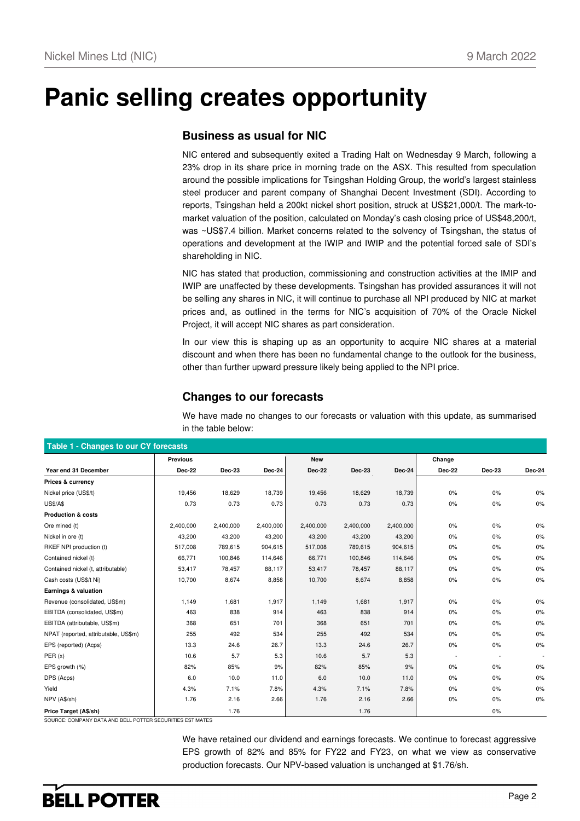# **Panic selling creates opportunity**

### **Business as usual for NIC**

NIC entered and subsequently exited a Trading Halt on Wednesday 9 March, following a 23% drop in its share price in morning trade on the ASX. This resulted from speculation around the possible implications for Tsingshan Holding Group, the world's largest stainless steel producer and parent company of Shanghai Decent Investment (SDI). According to reports, Tsingshan held a 200kt nickel short position, struck at US\$21,000/t. The mark-tomarket valuation of the position, calculated on Monday's cash closing price of US\$48,200/t, was ~US\$7.4 billion. Market concerns related to the solvency of Tsingshan, the status of operations and development at the IWIP and IWIP and the potential forced sale of SDI's shareholding in NIC.

NIC has stated that production, commissioning and construction activities at the IMIP and IWIP are unaffected by these developments. Tsingshan has provided assurances it will not be selling any shares in NIC, it will continue to purchase all NPI produced by NIC at market prices and, as outlined in the terms for NIC's acquisition of 70% of the Oracle Nickel Project, it will accept NIC shares as part consideration.

In our view this is shaping up as an opportunity to acquire NIC shares at a material discount and when there has been no fundamental change to the outlook for the business, other than further upward pressure likely being applied to the NPI price.

### **Changes to our forecasts**

We have made no changes to our forecasts or valuation with this update, as summarised in the table below:

| Table 1 - Changes to our CY forecasts |                 |               |           |               |               |           |               |        |        |
|---------------------------------------|-----------------|---------------|-----------|---------------|---------------|-----------|---------------|--------|--------|
|                                       | <b>Previous</b> |               |           | <b>New</b>    |               |           | Change        |        |        |
| Year end 31 December                  | <b>Dec-22</b>   | <b>Dec-23</b> | Dec-24    | <b>Dec-22</b> | <b>Dec-23</b> | Dec-24    | <b>Dec-22</b> | Dec-23 | Dec-24 |
| Prices & currency                     |                 |               |           |               |               |           |               |        |        |
| Nickel price (US\$/t)                 | 19,456          | 18,629        | 18,739    | 19,456        | 18,629        | 18,739    | 0%            | 0%     | 0%     |
| <b>US\$/A\$</b>                       | 0.73            | 0.73          | 0.73      | 0.73          | 0.73          | 0.73      | $0\%$         | 0%     | $0\%$  |
| <b>Production &amp; costs</b>         |                 |               |           |               |               |           |               |        |        |
| Ore mined (t)                         | 2,400,000       | 2,400,000     | 2,400,000 | 2,400,000     | 2,400,000     | 2,400,000 | 0%            | 0%     | 0%     |
| Nickel in ore (t)                     | 43,200          | 43,200        | 43,200    | 43,200        | 43,200        | 43,200    | 0%            | $0\%$  | 0%     |
| RKEF NPI production (t)               | 517,008         | 789,615       | 904,615   | 517,008       | 789,615       | 904,615   | 0%            | $0\%$  | 0%     |
| Contained nickel (t)                  | 66,771          | 100,846       | 114,646   | 66,771        | 100,846       | 114,646   | 0%            | $0\%$  | 0%     |
| Contained nickel (t, attributable)    | 53,417          | 78,457        | 88,117    | 53,417        | 78,457        | 88,117    | 0%            | 0%     | 0%     |
| Cash costs (US\$/t Ni)                | 10,700          | 8,674         | 8,858     | 10,700        | 8,674         | 8,858     | 0%            | 0%     | 0%     |
| Earnings & valuation                  |                 |               |           |               |               |           |               |        |        |
| Revenue (consolidated, US\$m)         | 1,149           | 1,681         | 1,917     | 1,149         | 1,681         | 1,917     | 0%            | 0%     | 0%     |
| EBITDA (consolidated, US\$m)          | 463             | 838           | 914       | 463           | 838           | 914       | 0%            | 0%     | $0\%$  |
| EBITDA (attributable, US\$m)          | 368             | 651           | 701       | 368           | 651           | 701       | 0%            | 0%     | 0%     |
| NPAT (reported, attributable, US\$m)  | 255             | 492           | 534       | 255           | 492           | 534       | $0\%$         | 0%     | 0%     |
| EPS (reported) (Acps)                 | 13.3            | 24.6          | 26.7      | 13.3          | 24.6          | 26.7      | 0%            | $0\%$  | 0%     |
| PER(x)                                | 10.6            | 5.7           | 5.3       | 10.6          | 5.7           | 5.3       |               |        |        |
| EPS growth (%)                        | 82%             | 85%           | 9%        | 82%           | 85%           | 9%        | 0%            | 0%     | 0%     |
| DPS (Acps)                            | 6.0             | 10.0          | 11.0      | 6.0           | 10.0          | 11.0      | 0%            | 0%     | 0%     |
| Yield                                 | 4.3%            | 7.1%          | 7.8%      | 4.3%          | 7.1%          | 7.8%      | 0%            | 0%     | $0\%$  |
| NPV (A\$/sh)                          | 1.76            | 2.16          | 2.66      | 1.76          | 2.16          | 2.66      | 0%            | 0%     | 0%     |
| Price Target (A\$/sh)                 |                 | 1.76          |           |               | 1.76          |           |               | 0%     |        |

SOURCE: COMPANY DATA AND BELL POTTER SECURITIES ESTIMATES

We have retained our dividend and earnings forecasts. We continue to forecast aggressive EPS growth of 82% and 85% for FY22 and FY23, on what we view as conservative production forecasts. Our NPV-based valuation is unchanged at \$1.76/sh.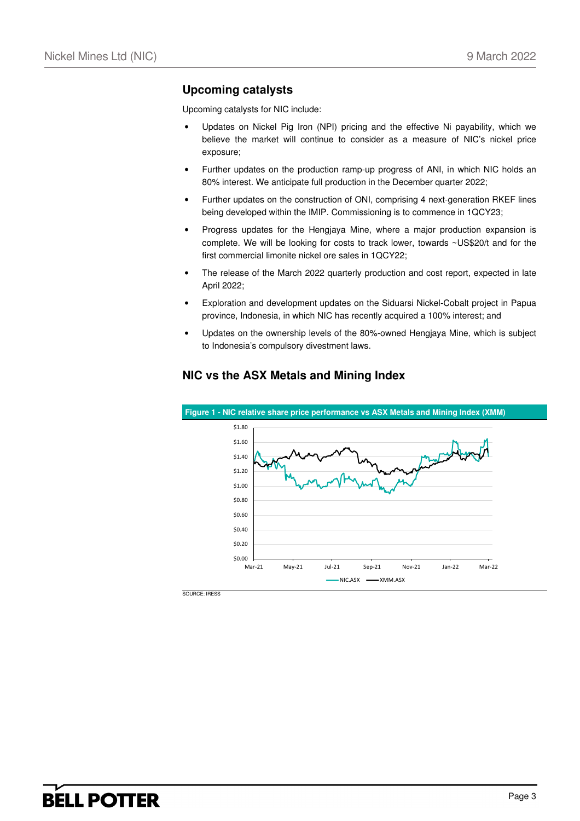### **Upcoming catalysts**

Upcoming catalysts for NIC include:

- Updates on Nickel Pig Iron (NPI) pricing and the effective Ni payability, which we believe the market will continue to consider as a measure of NIC's nickel price exposure;
- Further updates on the production ramp-up progress of ANI, in which NIC holds an 80% interest. We anticipate full production in the December quarter 2022;
- Further updates on the construction of ONI, comprising 4 next-generation RKEF lines being developed within the IMIP. Commissioning is to commence in 1QCY23;
- Progress updates for the Hengjaya Mine, where a major production expansion is complete. We will be looking for costs to track lower, towards ~US\$20/t and for the first commercial limonite nickel ore sales in 1QCY22;
- The release of the March 2022 quarterly production and cost report, expected in late April 2022;
- Exploration and development updates on the Siduarsi Nickel-Cobalt project in Papua province, Indonesia, in which NIC has recently acquired a 100% interest; and
- Updates on the ownership levels of the 80%-owned Hengjaya Mine, which is subject to Indonesia's compulsory divestment laws.



### **NIC vs the ASX Metals and Mining Index**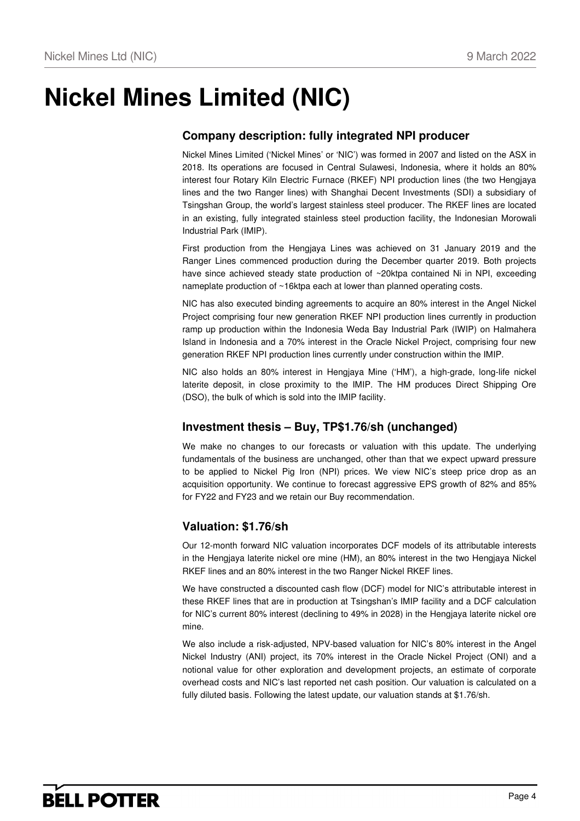# **Nickel Mines Limited (NIC)**

## **Company description: fully integrated NPI producer**

Nickel Mines Limited ('Nickel Mines' or 'NIC') was formed in 2007 and listed on the ASX in 2018. Its operations are focused in Central Sulawesi, Indonesia, where it holds an 80% interest four Rotary Kiln Electric Furnace (RKEF) NPI production lines (the two Hengjaya lines and the two Ranger lines) with Shanghai Decent Investments (SDI) a subsidiary of Tsingshan Group, the world's largest stainless steel producer. The RKEF lines are located in an existing, fully integrated stainless steel production facility, the Indonesian Morowali Industrial Park (IMIP).

First production from the Hengjaya Lines was achieved on 31 January 2019 and the Ranger Lines commenced production during the December quarter 2019. Both projects have since achieved steady state production of ~20ktpa contained Ni in NPI, exceeding nameplate production of ~16ktpa each at lower than planned operating costs.

NIC has also executed binding agreements to acquire an 80% interest in the Angel Nickel Project comprising four new generation RKEF NPI production lines currently in production ramp up production within the Indonesia Weda Bay Industrial Park (IWIP) on Halmahera Island in Indonesia and a 70% interest in the Oracle Nickel Project, comprising four new generation RKEF NPI production lines currently under construction within the IMIP.

NIC also holds an 80% interest in Hengjaya Mine ('HM'), a high-grade, long-life nickel laterite deposit, in close proximity to the IMIP. The HM produces Direct Shipping Ore (DSO), the bulk of which is sold into the IMIP facility.

### **Investment thesis – Buy, TP\$1.76/sh (unchanged)**

We make no changes to our forecasts or valuation with this update. The underlying fundamentals of the business are unchanged, other than that we expect upward pressure to be applied to Nickel Pig Iron (NPI) prices. We view NIC's steep price drop as an acquisition opportunity. We continue to forecast aggressive EPS growth of 82% and 85% for FY22 and FY23 and we retain our Buy recommendation.

### **Valuation: \$1.76/sh**

Our 12-month forward NIC valuation incorporates DCF models of its attributable interests in the Hengjaya laterite nickel ore mine (HM), an 80% interest in the two Hengjaya Nickel RKEF lines and an 80% interest in the two Ranger Nickel RKEF lines.

We have constructed a discounted cash flow (DCF) model for NIC's attributable interest in these RKEF lines that are in production at Tsingshan's IMIP facility and a DCF calculation for NIC's current 80% interest (declining to 49% in 2028) in the Hengjaya laterite nickel ore mine.

We also include a risk-adjusted, NPV-based valuation for NIC's 80% interest in the Angel Nickel Industry (ANI) project, its 70% interest in the Oracle Nickel Project (ONI) and a notional value for other exploration and development projects, an estimate of corporate overhead costs and NIC's last reported net cash position. Our valuation is calculated on a fully diluted basis. Following the latest update, our valuation stands at \$1.76/sh.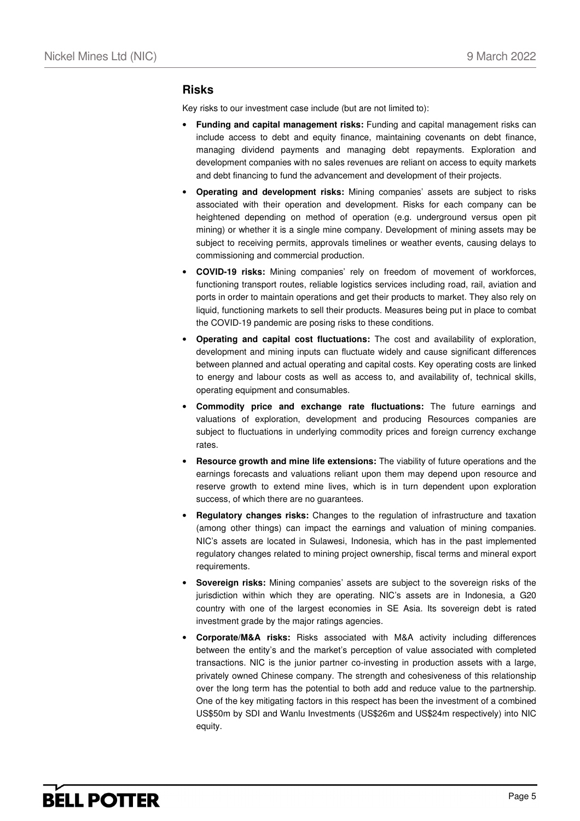#### **Risks**

Key risks to our investment case include (but are not limited to):

- **Funding and capital management risks:** Funding and capital management risks can include access to debt and equity finance, maintaining covenants on debt finance, managing dividend payments and managing debt repayments. Exploration and development companies with no sales revenues are reliant on access to equity markets and debt financing to fund the advancement and development of their projects.
- **Operating and development risks:** Mining companies' assets are subject to risks associated with their operation and development. Risks for each company can be heightened depending on method of operation (e.g. underground versus open pit mining) or whether it is a single mine company. Development of mining assets may be subject to receiving permits, approvals timelines or weather events, causing delays to commissioning and commercial production.
- **COVID-19 risks:** Mining companies' rely on freedom of movement of workforces, functioning transport routes, reliable logistics services including road, rail, aviation and ports in order to maintain operations and get their products to market. They also rely on liquid, functioning markets to sell their products. Measures being put in place to combat the COVID-19 pandemic are posing risks to these conditions.
- **Operating and capital cost fluctuations:** The cost and availability of exploration, development and mining inputs can fluctuate widely and cause significant differences between planned and actual operating and capital costs. Key operating costs are linked to energy and labour costs as well as access to, and availability of, technical skills, operating equipment and consumables.
- **Commodity price and exchange rate fluctuations:** The future earnings and valuations of exploration, development and producing Resources companies are subject to fluctuations in underlying commodity prices and foreign currency exchange rates.
- **Resource growth and mine life extensions:** The viability of future operations and the earnings forecasts and valuations reliant upon them may depend upon resource and reserve growth to extend mine lives, which is in turn dependent upon exploration success, of which there are no guarantees.
- **Regulatory changes risks:** Changes to the regulation of infrastructure and taxation (among other things) can impact the earnings and valuation of mining companies. NIC's assets are located in Sulawesi, Indonesia, which has in the past implemented regulatory changes related to mining project ownership, fiscal terms and mineral export requirements.
- **Sovereign risks:** Mining companies' assets are subject to the sovereign risks of the jurisdiction within which they are operating. NIC's assets are in Indonesia, a G20 country with one of the largest economies in SE Asia. Its sovereign debt is rated investment grade by the major ratings agencies.
- **Corporate/M&A risks:** Risks associated with M&A activity including differences between the entity's and the market's perception of value associated with completed transactions. NIC is the junior partner co-investing in production assets with a large, privately owned Chinese company. The strength and cohesiveness of this relationship over the long term has the potential to both add and reduce value to the partnership. One of the key mitigating factors in this respect has been the investment of a combined US\$50m by SDI and Wanlu Investments (US\$26m and US\$24m respectively) into NIC equity.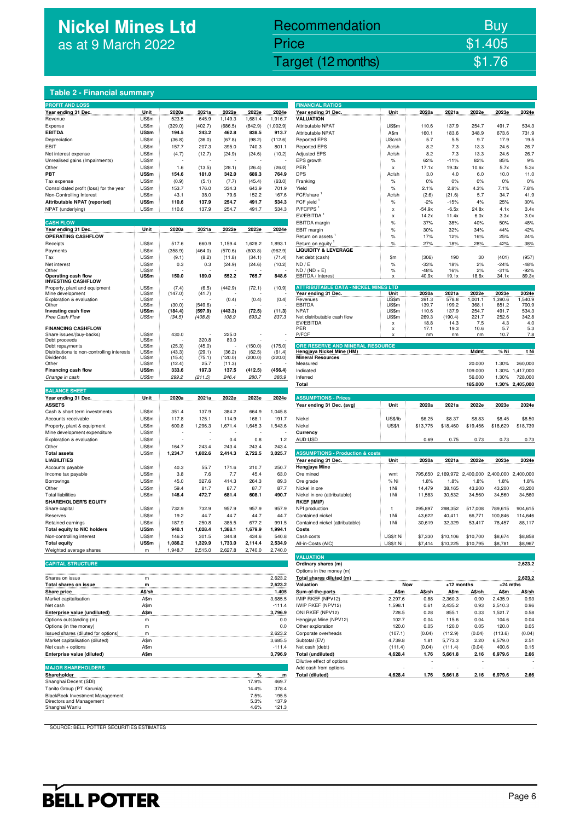## **Nickel Mines Ltd**  as at 9 March 2022

## Nickel Mines Ltd (Nickel Mines Ltd (Nickel Mines Ltd (Nickel Mines Ltd (Nickel Mines Ltd Control) \$1.76 Recommendation Buy Price \$1.405

#### **Table 2 - Financial summary**

| <b>PROFIT AND LOSS</b>                            |                |                  |                 |                   |         |               | <b>FINANCIAL RATIOS</b>                                            |                                |              |              |                             |            |                 |
|---------------------------------------------------|----------------|------------------|-----------------|-------------------|---------|---------------|--------------------------------------------------------------------|--------------------------------|--------------|--------------|-----------------------------|------------|-----------------|
| Year ending 31 Dec.                               | Unit           | 2020a            | 2021a           | 2022e             | 2023e   | 2024e         | Year ending 31 Dec.                                                | Unit                           | 2020a        | 2021a        | 2022e                       | 2023e      | 2024e           |
| Revenue                                           | US\$m          | 523.5            | 645.9           | 1,149.3           | 1,681.4 | 1,916.7       | <b>VALUATION</b>                                                   |                                |              |              |                             |            |                 |
| Expense                                           | US\$m          | (329.0)          | (402.7)         | (686.5)           | (842.9) | (1,002.9)     | Attributable NPAT                                                  | US\$m                          | 110.6        | 137.9        | 254.7                       | 491.7      | 534.3           |
| <b>EBITDA</b>                                     | US\$m          | 194.5            | 243.2           | 462.8             | 838.5   | 913.7         | Attributable NPAT                                                  | A\$m                           | 160.1        | 183.6        | 348.9                       | 673.6      | 731.9           |
| Depreciation                                      | US\$m          | (36.8)           | (36.0)          | (67.8)            | (98.2)  | (112.6)       | <b>Reported EPS</b>                                                | USc/sh                         | 5.7          | 5.5          | 9.7                         | 17.9       | 19.5            |
| EBIT                                              | US\$m          | 157.7            | 207.3           | 395.0             | 740.3   | 801.1         | <b>Reported EPS</b>                                                | Ac/sh                          | 8.2          | 7.3          | 13.3                        | 24.6       | 26.7            |
| Net interest expense                              | US\$m          | (4.7)            | (12.7)          | (24.9)            | (24.6)  | (10.2)        | <b>Adjusted EPS</b>                                                | Ac/sh                          | 8.2          | 7.3          | 13.3                        | 24.6       | 26.7            |
| Unrealised gains (Impairments)                    | US\$m          |                  |                 |                   |         |               | EPS growth                                                         | $\%$                           | 62%          | $-11%$       | 82%                         | 85%        | 9%              |
| Other                                             | US\$m          | 1.6              | (13.5)          | (28.1)            | (26.4)  | (26.0)        | PER                                                                | X                              | 17.1x        | 19.3x        | 10.6x                       | 5.7x       | 5.3x            |
| PBT                                               | <b>US\$m</b>   | 154.6            | 181.0           | 342.0             | 689.3   | 764.9         | <b>DPS</b>                                                         | Ac/sh                          | 3.0          | 4.0          | 6.0                         | 10.0       | 11.0            |
| Tax expense                                       | US\$m          | (0.9)            | (5.1)           | (7.7)             | (45.4)  | (63.0)        | Franking                                                           | $\%$                           | 0%           | $0\%$        | 0%                          | 0%         | 0%              |
| Consolidated profit (loss) for the year           | US\$m          | 153.7            | 176.0           | 334.3             | 643.9   | 701.9         | Yield                                                              | $\%$                           | 2.1%         | 2.8%         | 4.3%                        | 7.1%       | 7.8%            |
| Non-Controlling Interest                          | US\$m          | 43.1             | 38.0            | 79.6              | 152.2   | 167.6         | FCF/share                                                          | Ac/sh                          | (2.6)        | (21.6)       | 5.7                         | 34.7       | 41.9            |
| Attributable NPAT (reported)                      | US\$m          | 110.6            | 137.9           | 254.7             | 491.7   | 534.3         | FCF yield                                                          | $\%$                           | $-2%$        | $-15%$       | 4%                          | 25%        | 30%             |
| NPAT (underlying)                                 | US\$m          | 110.6            | 137.9           | 254.7             | 491.7   | 534.3         | P/FCFPS <sup>1</sup>                                               | $\boldsymbol{\mathsf{x}}$      | $-54.9x$     | $-6.5x$      | 24.8x                       | 4.1x       | 3.4x            |
|                                                   |                |                  |                 |                   |         |               | EV/EBITDA <sup>1</sup>                                             | x                              | 14.2x        | 11.4x        | 6.0x                        | 3.3x       | 3.0x            |
| <b>CASH FLOW</b>                                  |                |                  |                 |                   |         |               | EBITDA margin                                                      | $\%$                           | 37%          | 38%          | 40%                         | 50%        | 48%             |
| Year ending 31 Dec.                               | Unit           | 2020a            | 2021a           | 2022e             | 2023e   | 2024e         | EBIT margin                                                        | %                              | 30%          | 32%          | 34%                         | 44%        | 42%             |
| OPERATING CASHFLOW                                |                |                  |                 |                   |         |               | Return on assets                                                   | $\%$                           | 17%          | 12%          | 16%                         | 25%        | 24%             |
| Receipts                                          | US\$m          | 517.6            | 660.9           | 1,159.4           | 1,628.2 | 1,893.1       | Return on equity                                                   | $\%$                           | 27%          | 18%          | 28%                         | 42%        | 38%             |
| Payments                                          | US\$m          | (358.9)          | (464.0)         | (570.6)           | (803.8) | (962.9)       | <b>LIQUIDITY &amp; LEVERAGE</b>                                    |                                |              |              |                             |            |                 |
| Tax                                               | US\$m          | (9.1)            | (8.2)           | (11.8)            | (34.1)  | (71.4)        | Net debt (cash)                                                    | \$m                            | (306)        | 190          | 30                          | (401)      | (957)           |
| Net interest                                      | US\$m          | 0.3              | 0.3             | (24.9)            | (24.6)  | (10.2)        | ND / E                                                             | $\%$                           | $-33%$       | 18%          | 2%                          | $-24%$     | $-48%$          |
| Other                                             | US\$m          |                  |                 |                   |         |               | $ND / (ND + E)$                                                    | $\%$                           | $-48%$       | 16%          | 2%                          | $-31%$     | $-92%$          |
| Operating cash flow                               | US\$m          | 150.0            | 189.0           | 552.2             | 765.7   | 848.6         | EBITDA / Interest                                                  |                                | 40.9x        | 19.1x        | 18.6x                       | 34.1x      | 89.3x           |
| <b>INVESTING CASHFLOW</b>                         |                |                  |                 |                   |         |               |                                                                    |                                |              |              |                             |            |                 |
| Property, plant and equipment<br>Mine development | US\$m<br>US\$m | (7.4)<br>(147.0) | (6.5)<br>(41.7) | (442.9)           | (72.1)  | (10.9)        | <b>ATTRIBUTABLE DATA - NICKEL MINES LTD</b><br>Year ending 31 Dec. | Unit                           | 2020a        | 2021a        | 2022e                       | 2023e      | 2024e           |
| Exploration & evaluation                          | US\$m          |                  |                 | (0.4)             | (0.4)   | (0.4)         | Revenues                                                           | US\$m                          | 391.3        | 578.8        | 1,001.1                     | 1,390.6    | 1,540.9         |
| Other                                             | US\$m          | (30.0)           | (549.6)         |                   |         |               | <b>EBITDA</b>                                                      | US\$m                          | 139.7        | 199.2        | 368.1                       | 651.2      | 700.9           |
| Investing cash flow                               | US\$m          | (184.4)          | (597.9)         | (443.3)           | (72.5)  | (11.3)        | <b>NPAT</b>                                                        | US\$m                          | 110.6        | 137.9        | 254.7                       | 491.7      | 534.3           |
| Free Cash Flow                                    | US\$m          | (34.5)           | (408.8)         | 108.9             | 693.2   | 837.3         | Net distributable cash flow                                        | US\$m                          | 269.3        | (190.4)      | 221.7                       | 252.6      | 342.8           |
| <b>FINANCING CASHFLOW</b>                         |                |                  |                 |                   |         |               | EV/EBITDA<br>PFR                                                   | x<br>$\boldsymbol{\mathsf{x}}$ | 18.8<br>17.1 | 14.3<br>19.3 | 7.5<br>10.6                 | 4.3<br>5.7 | 4.0<br>5.3      |
| Share issues/(buy-backs)                          | US\$m          | 430.0            |                 | 225.0             |         |               | P/FCF                                                              |                                | nm           | nm           | nm                          | 10.7       | 7.8             |
| Debt proceeds                                     | US\$m          |                  | 320.8           | 80.0              |         |               |                                                                    |                                |              |              |                             |            |                 |
| Debt repayments                                   | US\$m          | (25.3)           | (45.0)          |                   | (150.0) | (175.0)       | ORE RESERVE AND MINERAL RESOURCE                                   |                                |              |              |                             |            |                 |
| Distributions to non-controlling interests        | US\$m          | (43.3)           | (29.1)          | (36.2)            | (62.5)  | (61.4)        | Hengjaya Nickel Mine (HM)                                          |                                |              |              | Mdmt                        | % Ni       | t Ni            |
| Dividends<br>Other                                | US\$m<br>US\$m | (15.4)<br>(12.4) | (75.1)<br>25.7  | (120.0)<br>(11.3) | (200.0) | (220.0)       | <b>Mineral Resources</b><br>Measured                               |                                |              |              | 20.000                      | 1.30%      | 260,000         |
| Financing cash flow                               | <b>US\$m</b>   | 333.6            | 197.3           | 137.5             | (412.5) | (456.4)       | Indicated                                                          |                                |              |              | 109.000                     | 1.30%      | 1,417,000       |
| Change in cash                                    | US\$m          | 299.2            | (211.5)         | 246.4             | 280.7   | 380.9         | Inferred                                                           |                                |              |              | 56.000                      | 1.30%      | 728,000         |
|                                                   |                |                  |                 |                   |         |               | Total                                                              |                                |              |              | 185.000                     |            | 1.30% 2,405,000 |
| <b>BALANCE SHEET</b>                              |                |                  |                 |                   |         |               |                                                                    |                                |              |              |                             |            |                 |
| Year ending 31 Dec.                               | Unit           | 2020a            | 2021a           | 2022e             |         |               |                                                                    |                                |              |              |                             |            |                 |
| <b>ASSETS</b>                                     |                |                  |                 |                   |         |               | <b>ASSUMPTIONS - Prices</b>                                        |                                |              |              |                             |            |                 |
| Cash & short term investments                     |                |                  |                 |                   | 2023e   | 2024e         |                                                                    |                                |              |              |                             |            |                 |
|                                                   |                |                  |                 |                   |         |               | Year ending 31 Dec. (avg)                                          | Unit                           | 2020a        | 2021a        | 2022e                       | 2023e      | 2024e           |
|                                                   | US\$m          | 351.4            | 137.9           | 384.2             | 664.9   | 1,045.8       |                                                                    |                                |              |              |                             |            |                 |
| Accounts receivable                               | US\$m          | 117.8            | 125.1           | 114.9             | 168.1   | 191.7         | Nickel                                                             | US\$/lb                        | \$6.25       | \$8.37       | \$8.83                      | \$8.45     | \$8.50          |
| Property, plant & equipment                       | US\$m          | 600.8            | 1,296.3         | 1,671.4           | 1,645.3 | 1,543.6       | Nickel                                                             | US\$/t                         | \$13,775     | \$18,460     | \$19,456                    | \$18,629   | \$18,739        |
| Mine development expenditure                      | US\$m          |                  |                 |                   |         |               | Currency                                                           |                                |              |              |                             |            |                 |
| Exploration & evaluation                          | US\$m          |                  |                 | 0.4               | 0.8     | 1.2           | AUD:USD                                                            |                                | 0.69         | 0.75         | 0.73                        | 0.73       | 0.73            |
| Other                                             | US\$m          | 164.7            | 243.4           | 243.4             | 243.4   | 243.4         |                                                                    |                                |              |              |                             |            |                 |
| <b>Total assets</b><br><b>LIABILITIES</b>         | US\$m          | 1,234.7          | 1,802.6         | 2,414.3           | 2,722.5 | 3,025.7       | <b>ASSUMPTIONS - Production &amp; costs</b>                        | Unit                           | 2020a        | 2021a        | 2022e                       | 2023e      | 2024e           |
|                                                   |                |                  |                 |                   | 210.7   |               | Year ending 31 Dec.                                                |                                |              |              |                             |            |                 |
| Accounts payable                                  | US\$m<br>US\$m | 40.3<br>3.8      | 55.7<br>7.6     | 171.6<br>7.7      | 45.4    | 250.7<br>63.0 | Hengjaya Mine<br>Ore mined                                         | wmt                            | 795,650      |              |                             | 2,400,000  | 2,400,000       |
| Income tax payable                                | US\$m          | 45.0             | 327.6           | 414.3             | 264.3   | 89.3          |                                                                    | % Ni                           | 1.8%         | 1.8%         | 2,169,972 2,400,000<br>1.8% | 1.8%       | 1.8%            |
| Borrowings<br>Other                               |                |                  |                 |                   |         |               | Ore grade                                                          |                                |              |              |                             |            |                 |
| <b>Total liabilities</b>                          | US\$m          | 59.4             | 81.7            | 87.7              | 87.7    | 87.7          | Nickel in ore                                                      | t Ni<br>t Ni                   | 14,479       | 38,165       | 43,200                      | 43,200     | 43,200          |
| <b>SHAREHOLDER'S EQUITY</b>                       | US\$m          | 148.4            | 472.7           | 681.4             | 608.1   | 490.7         | Nickel in ore (attributable)<br><b>RKEF (IMIP)</b>                 |                                | 11,583       | 30,532       | 34,560                      | 34,560     | 34,560          |
| Share capital                                     | US\$m          | 732.9            | 732.9           | 957.9             | 957.9   | 957.9         | NPI production                                                     | t                              | 295,897      | 298,352      | 517,008                     | 789,615    | 904,615         |
| Reserves                                          | US\$m          | 19.2             | 44.7            | 44.7              | 44.7    | 44.7          | Contained nickel                                                   | t Ni                           | 43,622       | 40,411       | 66,771                      | 100,846    | 114,646         |
| Retained earnings                                 | US\$m          | 187.9            | 250.8           | 385.5             | 677.2   | 991.5         | Contained nickel (attributable)                                    | t Ni                           | 30,619       | 32,329       | 53,417                      | 78,457     | 88,117          |
| <b>Total equity to NIC holders</b>                | <b>US\$m</b>   | 940.1            | 1,028.4         | 1,388.1           | 1,679.9 | 1,994.1       | Costs                                                              |                                |              |              |                             |            |                 |
| Non-controlling interest                          | US\$m          | 146.2            | 301.5           | 344.8             | 434.6   | 540.8         | Cash costs                                                         | US\$/t Ni                      | \$7,330      | \$10,106     | \$10,700                    | \$8,674    | \$8,858         |
| <b>Total equity</b>                               | <b>US\$m</b>   | 1,086.2          | 1,329.9         | 1,733.0           | 2,114.4 | 2,534.9       |                                                                    |                                | \$7,414      |              |                             |            |                 |
| Weighted average shares                           | m.             | 1,948.7          | 2,515.0         | 2,627.8           | 2,740.0 | 2,740.0       | All-in-Costs (AIC)                                                 | US\$/t Ni                      |              | \$10,225     | \$10,795                    | \$8,781    | \$8,967         |
|                                                   |                |                  |                 |                   |         |               | <b>VALUATION</b>                                                   |                                |              |              |                             |            |                 |
| <b>CAPITAL STRUCTURE</b>                          |                |                  |                 |                   |         |               | Ordinary shares (m)                                                |                                |              |              |                             |            | 2,623.2         |
|                                                   |                |                  |                 |                   |         |               | Options in the money (m)                                           |                                |              |              |                             |            |                 |

|                                     |        | -------- |                          |            |        |              |        |            |         |
|-------------------------------------|--------|----------|--------------------------|------------|--------|--------------|--------|------------|---------|
|                                     |        |          | <b>VALUATION</b>         |            |        |              |        |            |         |
| <b>CAPITAL STRUCTURE</b>            |        |          | Ordinary shares (m)      |            |        |              |        |            | 2,623.2 |
|                                     |        |          | Options in the money (m) |            |        |              |        |            |         |
| Shares on issue                     | m      | 2,623.2  | Total shares diluted (m) |            |        |              |        |            | 2.623.2 |
| Total shares on issue               | m      | 2.623.2  | Valuation                | <b>Now</b> |        | +12 months   |        | $+24$ mths |         |
| <b>Share price</b>                  | A\$/sh | 1.405    | Sum-of-the-parts         | A\$m       | A\$/sh | <b>A</b> \$m | A\$/sh | A\$m       | A\$/sh  |
| Market capitalisation               | A\$m   | 3,685.5  | IMIP RKEF (NPV12)        | 2.297.6    | 0.88   | 2.360.3      | 0.90   | 2.435.9    | 0.93    |
| Net cash                            | A\$m   | $-111.4$ | IWIP RKEF (NPV12)        | 1.598.1    | 0.61   | 2.435.2      | 0.93   | 2.510.3    | 0.96    |
| Enterprise value (undiluted)        | A\$m   | 3,796.9  | ONI RKEF (NPV12)         | 728.5      | 0.28   | 855.1        | 0.33   | 1.521.7    | 0.58    |
| Options outstanding (m)             | m      | 0.0      | Hengjaya Mine (NPV12)    | 102.7      | 0.04   | 115.6        | 0.04   | 104.6      | 0.04    |
| Options (in the money)              | m      | 0.0      | Other exploration        | 120.0      | 0.05   | 120.0        | 0.05   | 120.0      | 0.05    |
| Issued shares (diluted for options) | m      | 2.623.2  | Corporate overheads      | (107.1)    | (0.04) | (112.9)      | (0.04) | (113.6)    | (0.04)  |
| Market capitalisation (diluted)     | A\$m   | 3,685.5  | Subtotal (EV)            | 4,739.8    | 1.81   | 5.773.3      | 2.20   | 6.579.0    | 2.51    |
| Net cash + options                  | A\$m   | $-111.4$ | Net cash (debt)          | (111.4)    | (0.04) | (111.4)      | (0.04) | 400.6      | 0.15    |
| Enterprise value (diluted)          | A\$m   | 3.796.9  | Total (undiluted)        | 4.628.4    | 1.76   | 5.661.8      | 2.16   | 6.979.6    | 2.66    |

|       |       | Dilutive effect of options |         |      |         |                          |         |      |
|-------|-------|----------------------------|---------|------|---------|--------------------------|---------|------|
|       |       | Add cash from options      |         |      |         | $\overline{\phantom{a}}$ |         |      |
|       | m     | <b>Total (diluted)</b>     | 4.628.4 | 1.76 | 5.661.8 | 2.16                     | 6.979.6 | 2.66 |
| 17.9% | 469.7 |                            |         |      |         |                          |         |      |
| 14.4% | 378.4 |                            |         |      |         |                          |         |      |
| 7.5%  | 195.5 |                            |         |      |         |                          |         |      |
| 5.3%  | 137.9 |                            |         |      |         |                          |         |      |
| 4.6%  | 121.3 |                            |         |      |         |                          |         |      |
|       |       |                            |         |      |         |                          |         |      |

| <b>FINANCIAL RATIOS</b>                                                                                                    |                  |                              |                       |                  |                                         |                 |
|----------------------------------------------------------------------------------------------------------------------------|------------------|------------------------------|-----------------------|------------------|-----------------------------------------|-----------------|
| Year ending 31 Dec.                                                                                                        | Unit             | 2020a                        | 2021a                 | 2022e            | 2023e                                   | 2024e           |
| <b>VALUATION</b>                                                                                                           |                  |                              |                       |                  |                                         |                 |
| Attributable NPAT                                                                                                          | US\$m            | 110.6                        | 137.9                 | 254.7            | 491.7                                   | 534.3           |
| Attributable NPAT                                                                                                          | A\$m             | 160.1                        | 183.6                 | 348.9            | 673.6                                   | 731.9           |
| <b>Reported EPS</b><br><b>Reported EPS</b>                                                                                 | USc/sh           | 5.7<br>8.2                   | 5.5<br>7.3            | 9.7<br>13.3      | 17.9<br>24.6                            | 19.5            |
| <b>Adjusted EPS</b>                                                                                                        | Ac/sh<br>Ac/sh   | 8.2                          | 7.3                   | 13.3             | 24.6                                    | 26.7<br>26.7    |
| EPS growth                                                                                                                 | %                | 62%                          | $-11%$                | 82%              | 85%                                     | 9%              |
| $PER^1$                                                                                                                    | x                | 17.1x                        | 19.3x                 | 10.6x            | 5.7x                                    | 5.3x            |
| DPS                                                                                                                        | Ac/sh            | 3.0                          | 4.0                   | 6.0              | 10.0                                    | 11.0            |
| Franking                                                                                                                   | %                | 0%                           | 0%                    | 0%               | 0%                                      | 0%              |
| Yield<br>$FCF/share$ <sup>1</sup>                                                                                          | %                | 2.1%                         | 2.8%                  | 4.3%             | 7.1%                                    | 7.8%            |
| FCF yield <sup>1</sup>                                                                                                     | Ac/sh<br>%       | (2.6)<br>$-2%$               | (21.6)<br>$-15%$      | 5.7<br>4%        | 34.7<br>25%                             | 41.9<br>30%     |
| P/FCFPS <sup>1</sup>                                                                                                       | x                | $-54.9x$                     | $-6.5x$               | 24.8x            | 4.1x                                    | 3.4x            |
| EV/EBITDA <sup>1</sup>                                                                                                     | x                | 14.2x                        | 11.4x                 | 6.0x             | 3.3x                                    | 3.0x            |
| <b>EBITDA</b> margin                                                                                                       | %                | 37%                          | 38%                   | 40%              | 50%                                     | 48%             |
| EBIT margin                                                                                                                | %                | 30%                          | 32%                   | 34%              | 44%                                     | 42%             |
| Return on assets 1                                                                                                         | %                | 17%                          | 12%                   | 16%              | 25%                                     | 24%             |
| Return on equity 1                                                                                                         | %                | 27%                          | 18%                   | 28%              | 42%                                     | 38%             |
| <b>LIQUIDITY &amp; LEVERAGE</b><br>Net debt (cash)                                                                         | \$m              | (306)                        | 190                   | 30               | (401)                                   | (957)           |
| ND / E                                                                                                                     | %                | $-33%$                       | 18%                   | 2%               | $-24%$                                  | $-48%$          |
| ND / (ND + E)                                                                                                              | %                | $-48%$                       | 16%                   | 2%               | $-31%$                                  | $-92%$          |
| EBITDA / Interest                                                                                                          | x                | 40.9x                        | 19.1x                 | 18.6x            | 34.1x                                   | 89.3x           |
| <b>ATTRIBUTABLE DATA - NICKEL MINES LTD</b>                                                                                |                  |                              |                       |                  |                                         |                 |
| Year ending 31 Dec.                                                                                                        | Unit             | 2020a                        | 2021a                 | 2022e            | 2023e                                   | 2024e           |
| Revenues                                                                                                                   | US\$m            | 391.3                        | 578.8                 | 1,001.1          | 1,390.6                                 | 1,540.9         |
| EBITDA<br>NPAT                                                                                                             | US\$m<br>US\$m   | 139.7<br>110.6               | 199.2<br>137.9        | 368.1<br>254.7   | 651.2<br>491.7                          | 700.9<br>534.3  |
|                                                                                                                            | US\$m            | 269.3                        | (190.4)               | 221.7            | 252.6                                   | 342.8           |
| Net distributable cash flow                                                                                                |                  | 18.8                         | 14.3                  | 7.5              | 4.3                                     | 4.0             |
| EV/EBITDA                                                                                                                  | x                |                              |                       |                  |                                         |                 |
| PER                                                                                                                        | x                | 17.1                         | 19.3                  | 10.6             | 5.7                                     | 5.3             |
| P/FCF                                                                                                                      | x                | nm                           | nm                    | nm               | 10.7                                    |                 |
| ORE RESERVE AND MINERAL RESOURCE                                                                                           |                  |                              |                       |                  |                                         | 7.8             |
| Hengjaya Nickel Mine (HM)                                                                                                  |                  |                              |                       | Mdmt             | % Ni                                    | t Ni            |
| <b>Mineral Resources</b><br>Measured                                                                                       |                  |                              |                       | 20.000           | 1.30%                                   | 260,000         |
| Indicated                                                                                                                  |                  |                              |                       | 109.000          | 1.30%                                   | 1,417,000       |
| Inferred                                                                                                                   |                  |                              |                       | 56.000           | 1.30%                                   | 728,000         |
| Total                                                                                                                      |                  |                              |                       | 185.000          |                                         | 1.30% 2,405,000 |
|                                                                                                                            |                  |                              |                       |                  |                                         |                 |
| <b>ASSUMPTIONS - Prices</b><br>Year ending 31 Dec. (avg)                                                                   | Unit             | 2020a                        | 2021a                 | 2022e            | 2023e                                   | 2024e           |
|                                                                                                                            |                  |                              |                       |                  |                                         |                 |
| Nickel                                                                                                                     | US\$/lb          | \$6.25                       | \$8.37                | \$8.83           | \$8.45                                  | \$8.50          |
| Nickel                                                                                                                     | <b>US\$/t</b>    | \$13,775                     | \$18,460              | \$19,456         | \$18,629                                | \$18,739        |
| Currency                                                                                                                   |                  |                              |                       |                  |                                         |                 |
| AUD:USD                                                                                                                    |                  | 0.69                         | 0.75                  | 0.73             | 0.73                                    | 0.73            |
| <b>ASSUMPTIONS - Production &amp; costs</b>                                                                                |                  |                              |                       |                  |                                         |                 |
|                                                                                                                            | Unit             | 2020a                        | 2021a                 | 2022e            | 2023e                                   | 2024e           |
| Year ending 31 Dec.<br>Hengjaya Mine                                                                                       |                  |                              |                       |                  |                                         |                 |
| Ore mined                                                                                                                  | wmt              | 795,650                      |                       |                  | 2,169,972 2,400,000 2,400,000 2,400,000 |                 |
| Ore grade                                                                                                                  | % Ni             | 1.8%                         | 1.8%                  | 1.8%             | 1.8%                                    | 1.8%            |
| Nickel in ore                                                                                                              | t Ni             | 14,479                       | 38,165                | 43,200           | 43,200                                  | 43,200          |
| Nickel in ore (attributable)                                                                                               | t Ni             | 11,583                       | 30,532                | 34,560           | 34,560                                  | 34,560          |
| RKEF (IMIP)                                                                                                                |                  |                              |                       |                  |                                         |                 |
| NPI production                                                                                                             | t                | 295.897                      | 298.352               | 517,008          | 789,615                                 | 904,615         |
| Contained nickel<br>Contained nickel (attributable)                                                                        | t Ni<br>t Ni     | 43,622<br>30,619             | 40,411<br>32,329      | 66,771<br>53,417 | 100,846<br>78,457                       | 114,646         |
| Costs                                                                                                                      |                  |                              |                       |                  |                                         | 88,117          |
| Cash costs                                                                                                                 | US\$/t Ni        | \$7,330                      | \$10,106              | \$10,700         | \$8,674                                 | \$8,858         |
| All-in-Costs (AIC)                                                                                                         | US\$/t Ni        | \$7,414                      | \$10,225              | \$10,795         | \$8,781                                 | \$8,967         |
|                                                                                                                            |                  |                              |                       |                  |                                         |                 |
| <b>VALUATION</b>                                                                                                           |                  |                              |                       |                  |                                         |                 |
| Ordinary shares (m)                                                                                                        |                  |                              |                       |                  |                                         | 2,623.2         |
| Options in the money (m)                                                                                                   |                  |                              |                       |                  |                                         |                 |
| Total shares diluted (m) and a series of the state of the state of the state of the state of the state of the<br>Valuation | <b>Now</b>       |                              | 2,623.2<br>+12 months |                  | $+24$ mths                              |                 |
| Sum-of-the-parts                                                                                                           |                  | A\$m A\$/sh A\$m A\$/sh A\$m |                       |                  |                                         | A\$/sh          |
| IMIP RKEF (NPV12)                                                                                                          | 2,297.6          | 0.88                         | 2,360.3               | 0.90             | 2,435.9                                 | 0.93            |
| IWIP RKEF (NPV12)                                                                                                          | 1,598.1          | 0.61                         | 2,435.2               | 0.93             | 2,510.3                                 | 0.96            |
| ONI RKEF (NPV12)                                                                                                           | 728.5            | 0.28                         | 855.1                 | 0.33             | 1,521.7                                 | 0.58            |
| Hengjaya Mine (NPV12)                                                                                                      | 102.7            | 0.04                         | 115.6                 | 0.04             | 104.6                                   | 0.04            |
| Other exploration<br>Corporate overheads                                                                                   | 120.0<br>(107.1) | 0.05<br>(0.04)               | 120.0<br>(112.9)      | 0.05<br>(0.04)   | 120.0<br>(113.6)                        | 0.05<br>(0.04)  |

SOURCE: BELL POTTER SECURITIES ESTIMATES